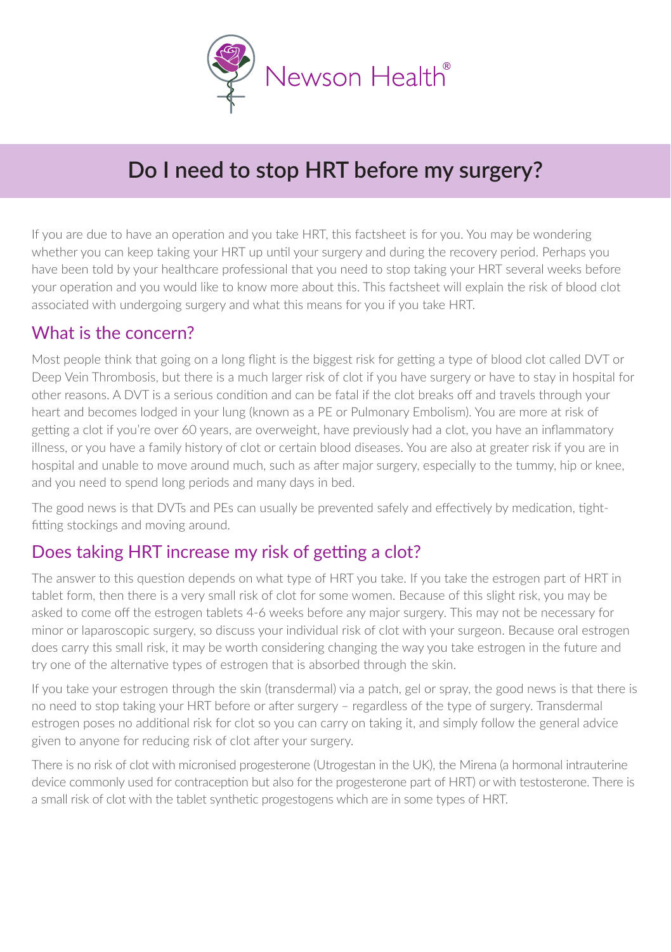

# **Do I need to stop HRT before my surgery?**

If you are due to have an operation and you take HRT, this factsheet is for you. You may be wondering whether you can keep taking your HRT up until your surgery and during the recovery period. Perhaps you have been told by your healthcare professional that you need to stop taking your HRT several weeks before your operation and you would like to know more about this. This factsheet will explain the risk of blood clot associated with undergoing surgery and what this means for you if you take HRT.

#### What is the concern?

Most people think that going on a long flight is the biggest risk for getting a type of blood clot called DVT or Deep Vein Thrombosis, but there is a much larger risk of clot if you have surgery or have to stay in hospital for other reasons. A DVT is a serious condition and can be fatal if the clot breaks off and travels through your heart and becomes lodged in your lung (known as a PE or Pulmonary Embolism). You are more at risk of getting a clot if you're over 60 years, are overweight, have previously had a clot, you have an inflammatory illness, or you have a family history of clot or certain blood diseases. You are also at greater risk if you are in hospital and unable to move around much, such as after major surgery, especially to the tummy, hip or knee, and you need to spend long periods and many days in bed.

The good news is that DVTs and PEs can usually be prevented safely and effectively by medication, tightfitting stockings and moving around.

### Does taking HRT increase my risk of getting a clot?

The answer to this question depends on what type of HRT you take. If you take the estrogen part of HRT in tablet form, then there is a very small risk of clot for some women. Because of this slight risk, you may be asked to come off the estrogen tablets 4-6 weeks before any major surgery. This may not be necessary for minor or laparoscopic surgery, so discuss your individual risk of clot with your surgeon. Because oral estrogen does carry this small risk, it may be worth considering changing the way you take estrogen in the future and try one of the alternative types of estrogen that is absorbed through the skin.

If you take your estrogen through the skin (transdermal) via a patch, gel or spray, the good news is that there is no need to stop taking your HRT before or after surgery – regardless of the type of surgery. Transdermal estrogen poses no additional risk for clot so you can carry on taking it, and simply follow the general advice given to anyone for reducing risk of clot after your surgery.

There is no risk of clot with micronised progesterone (Utrogestan in the UK), the Mirena (a hormonal intrauterine device commonly used for contraception but also for the progesterone part of HRT) or with testosterone. There is a small risk of clot with the tablet synthetic progestogens which are in some types of HRT.